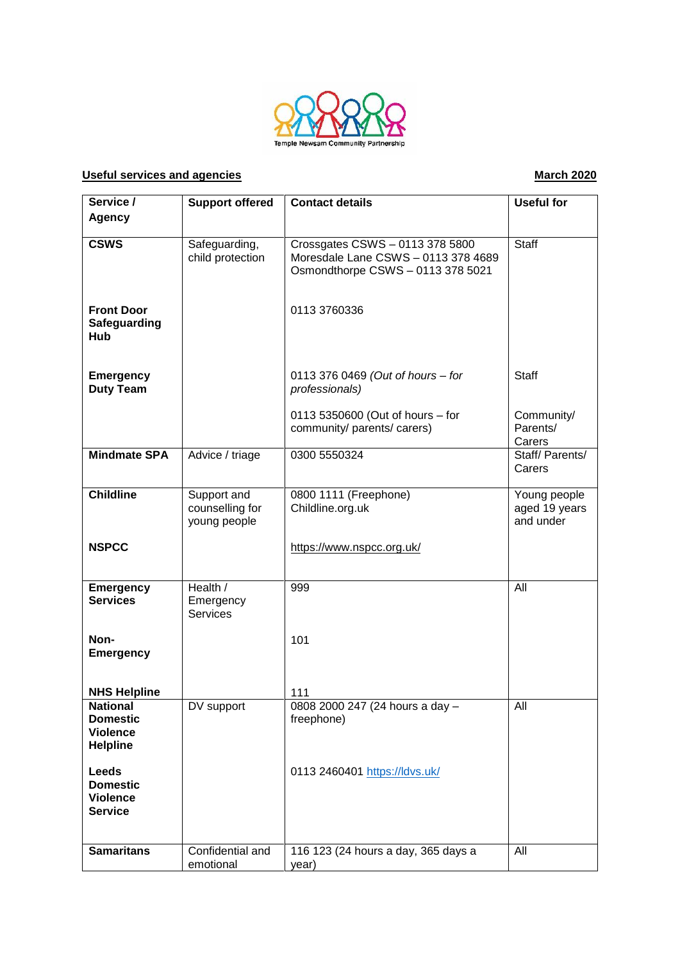

## **Useful services and agencies March 2020**

| Service /                                                                | <b>Support offered</b>                         | <b>Contact details</b>                                                                                      | <b>Useful for</b>                          |
|--------------------------------------------------------------------------|------------------------------------------------|-------------------------------------------------------------------------------------------------------------|--------------------------------------------|
|                                                                          |                                                |                                                                                                             |                                            |
| <b>Agency</b>                                                            |                                                |                                                                                                             |                                            |
| <b>CSWS</b>                                                              | Safeguarding,<br>child protection              | Crossgates CSWS - 0113 378 5800<br>Moresdale Lane CSWS - 0113 378 4689<br>Osmondthorpe CSWS - 0113 378 5021 | <b>Staff</b>                               |
| <b>Front Door</b><br>Safeguarding<br>Hub                                 |                                                | 0113 3760336                                                                                                |                                            |
| <b>Emergency</b><br><b>Duty Team</b>                                     |                                                | 0113 376 0469 (Out of hours - for<br>professionals)                                                         | <b>Staff</b>                               |
|                                                                          |                                                | 0113 5350600 (Out of hours - for<br>community/ parents/ carers)                                             | Community/<br>Parents/<br>Carers           |
| <b>Mindmate SPA</b>                                                      | Advice / triage                                | 0300 5550324                                                                                                | Staff/Parents/<br>Carers                   |
| <b>Childline</b>                                                         | Support and<br>counselling for<br>young people | 0800 1111 (Freephone)<br>Childline.org.uk                                                                   | Young people<br>aged 19 years<br>and under |
| <b>NSPCC</b>                                                             |                                                | https://www.nspcc.org.uk/                                                                                   |                                            |
| <b>Emergency</b><br><b>Services</b>                                      | Health /<br>Emergency<br><b>Services</b>       | 999                                                                                                         | All                                        |
| Non-<br><b>Emergency</b>                                                 |                                                | 101                                                                                                         |                                            |
| <b>NHS Helpline</b>                                                      |                                                | 111                                                                                                         |                                            |
| <b>National</b><br><b>Domestic</b><br><b>Violence</b><br><b>Helpline</b> | DV support                                     | 0808 2000 247 (24 hours a day -<br>freephone)                                                               | All                                        |
| <b>Leeds</b><br><b>Domestic</b><br><b>Violence</b><br><b>Service</b>     |                                                | 0113 2460401 https://ldvs.uk/                                                                               |                                            |
| <b>Samaritans</b>                                                        | Confidential and<br>emotional                  | 116 123 (24 hours a day, 365 days a<br>year)                                                                | All                                        |